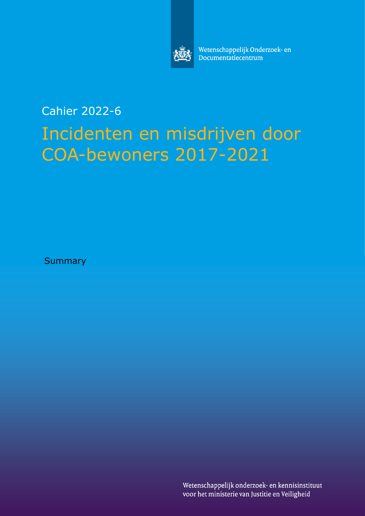

Wetenschappelijk Onderzoek- en Documentatiecentrum

# Cahier 2022-6 Incidenten en misdrijven door COA-bewoners 2017-2021

**Summary** 

Wetenschappelijk onderzoek- en kennisinstituut voor het ministerie van Justitie en Veiligheid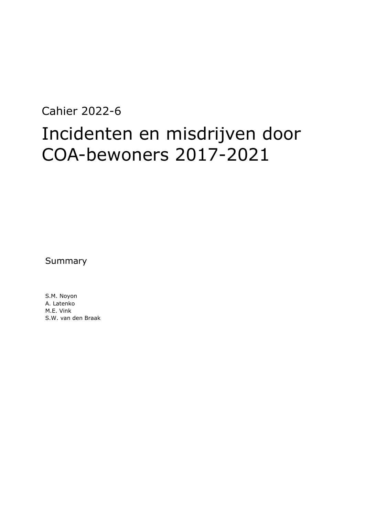# Cahier 2022-6 Incidenten en misdrijven door COA-bewoners 2017-2021

Summary

S.M. Noyon A. Latenko M.E. Vink S.W. van den Braak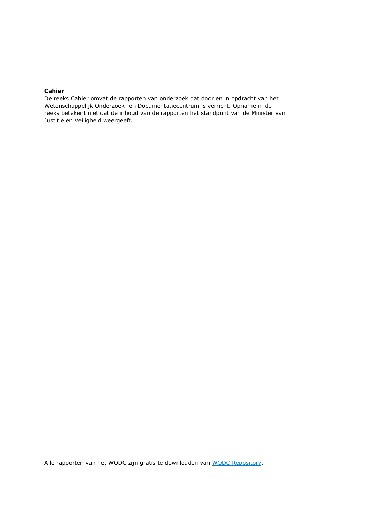#### **Cahier**

De reeks Cahier omvat de rapporten van onderzoek dat door en in opdracht van het Wetenschappelijk Onderzoek- en Documentatiecentrum is verricht. Opname in de reeks betekent niet dat de inhoud van de rapporten het standpunt van de Minister van Justitie en Veiligheid weergeeft.

Alle rapporten van het WODC zijn gratis te downloaden van [WODC Repository.](https://repository.wodc.nl/)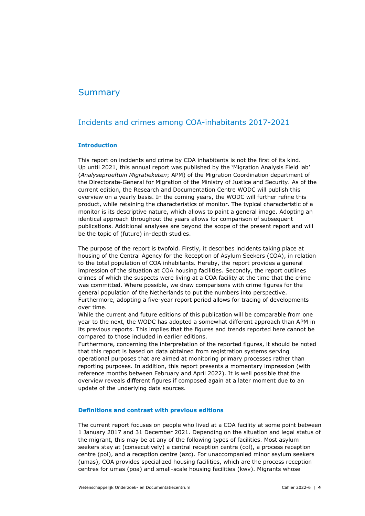### **Summary**

### Incidents and crimes among COA-inhabitants 2017-2021

#### **Introduction**

This report on incidents and crime by COA inhabitants is not the first of its kind. Up until 2021, this annual report was published by the 'Migration Analysis Field lab' (*Analyseproeftuin Migratieketen*; APM) of the Migration Coordination department of the Directorate-General for Migration of the Ministry of Justice and Security. As of the current edition, the Research and Documentation Centre WODC will publish this overview on a yearly basis. In the coming years, the WODC will further refine this product, while retaining the characteristics of monitor. The typical characteristic of a monitor is its descriptive nature, which allows to paint a general image. Adopting an identical approach throughout the years allows for comparison of subsequent publications. Additional analyses are beyond the scope of the present report and will be the topic of (future) in-depth studies.

The purpose of the report is twofold. Firstly, it describes incidents taking place at housing of the Central Agency for the Reception of Asylum Seekers (COA), in relation to the total population of COA inhabitants. Hereby, the report provides a general impression of the situation at COA housing facilities. Secondly, the report outlines crimes of which the suspects were living at a COA facility at the time that the crime was committed. Where possible, we draw comparisons with crime figures for the general population of the Netherlands to put the numbers into perspective. Furthermore, adopting a five-year report period allows for tracing of developments over time.

While the current and future editions of this publication will be comparable from one year to the next, the WODC has adopted a somewhat different approach than APM in its previous reports. This implies that the figures and trends reported here cannot be compared to those included in earlier editions.

Furthermore, concerning the interpretation of the reported figures, it should be noted that this report is based on data obtained from registration systems serving operational purposes that are aimed at monitoring primary processes rather than reporting purposes. In addition, this report presents a momentary impression (with reference months between February and April 2022). It is well possible that the overview reveals different figures if composed again at a later moment due to an update of the underlying data sources.

#### **Definitions and contrast with previous editions**

The current report focuses on people who lived at a COA facility at some point between 1 January 2017 and 31 December 2021. Depending on the situation and legal status of the migrant, this may be at any of the following types of facilities. Most asylum seekers stay at (consecutively) a central reception centre (col), a process reception centre (pol), and a reception centre (azc). For unaccompanied minor asylum seekers (umas), COA provides specialized housing facilities, which are the process reception centres for umas (poa) and small-scale housing facilities (kwv). Migrants whose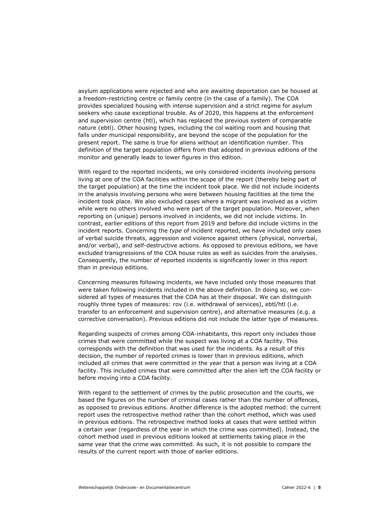asylum applications were rejected and who are awaiting deportation can be housed at a freedom-restricting centre or family centre (in the case of a family). The COA provides specialized housing with intense supervision and a strict regime for asylum seekers who cause exceptional trouble. As of 2020, this happens at the enforcement and supervision centre (htl), which has replaced the previous system of comparable nature (ebtl). Other housing types, including the col waiting room and housing that falls under municipal responsibility, are beyond the scope of the population for the present report. The same is true for aliens without an identification number. This definition of the target population differs from that adopted in previous editions of the monitor and generally leads to lower figures in this edition.

With regard to the reported incidents, we only considered incidents involving persons living at one of the COA facilities within the scope of the report (thereby being part of the target population) at the time the incident took place. We did not include incidents in the analysis involving persons who were between housing facilities at the time the incident took place. We also excluded cases where a migrant was involved as a victim while were no others involved who were part of the target population. Moreover, when reporting on (unique) persons involved in incidents, we did not include victims. In contrast, earlier editions of this report from 2019 and before did include victims in the incident reports. Concerning the *type* of incident reported, we have included only cases of verbal suicide threats, aggression and violence against others (physical, nonverbal, and/or verbal), and self-destructive actions. As opposed to previous editions, we have excluded transgressions of the COA house rules as well as suicides from the analyses. Consequently, the number of reported incidents is significantly lower in this report than in previous editions.

Concerning measures following incidents, we have included only those measures that were taken following incidents included in the above definition. In doing so, we considered all types of measures that the COA has at their disposal. We can distinguish roughly three types of measures: rov (i.e. withdrawal of services), ebtl/htl (i.e. transfer to an enforcement and supervision centre), and alternative measures (e.g. a corrective conversation). Previous editions did not include the latter type of measures.

Regarding suspects of crimes among COA-inhabitants, this report only includes those crimes that were committed while the suspect was living at a COA facility. This corresponds with the definition that was used for the incidents. As a result of this decision, the number of reported crimes is lower than in previous editions, which included all crimes that were committed in the year that a person was living at a COA facility. This included crimes that were committed after the alien left the COA facility or before moving into a COA facility.

With regard to the settlement of crimes by the public prosecution and the courts, we based the figures on the number of criminal cases rather than the number of offences, as opposed to previous editions. Another difference is the adopted method: the current report uses the retrospective method rather than the cohort method, which was used in previous editions. The retrospective method looks at cases that were settled within a certain year (regardless of the year in which the crime was committed). Instead, the cohort method used in previous editions looked at settlements taking place in the same year that the crime was committed. As such, it is not possible to compare the results of the current report with those of earlier editions.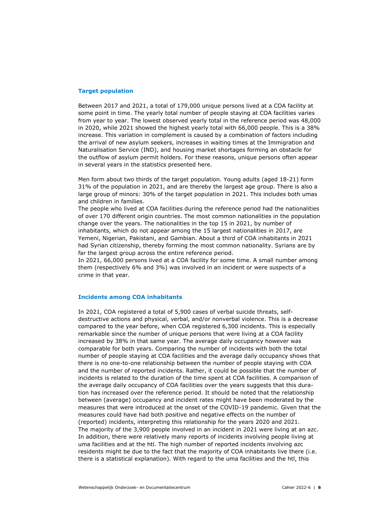#### **Target population**

Between 2017 and 2021, a total of 179,000 unique persons lived at a COA facility at some point in time. The yearly total number of people staying at COA facilities varies from year to year. The lowest observed yearly total in the reference period was 48,000 in 2020, while 2021 showed the highest yearly total with 66,000 people. This is a 38% increase. This variation in complement is caused by a combination of factors including the arrival of new asylum seekers, increases in waiting times at the Immigration and Naturalisation Service (IND), and housing market shortages forming an obstacle for the outflow of asylum permit holders. For these reasons, unique persons often appear in several years in the statistics presented here.

Men form about two thirds of the target population. Young adults (aged 18-21) form 31% of the population in 2021, and are thereby the largest age group. There is also a large group of minors: 30% of the target population in 2021. This includes both umas and children in families.

The people who lived at COA facilities during the reference period had the nationalities of over 170 different origin countries. The most common nationalities in the population change over the years. The nationalities in the top 15 in 2021, by number of inhabitants, which do not appear among the 15 largest nationalities in 2017, are Yemeni, Nigerian, Pakistani, and Gambian. About a third of COA inhabitants in 2021 had Syrian citizenship, thereby forming the most common nationality. Syrians are by far the largest group across the entire reference period.

In 2021, 66,000 persons lived at a COA facility for some time. A small number among them (respectively 6% and 3%) was involved in an incident or were suspects of a crime in that year.

#### **Incidents among COA inhabitants**

In 2021, COA registered a total of 5,900 cases of verbal suicide threats, selfdestructive actions and physical, verbal, and/or nonverbal violence. This is a decrease compared to the year before, when COA registered 6,300 incidents. This is especially remarkable since the number of unique persons that were living at a COA facility increased by 38% in that same year. The average daily occupancy however was comparable for both years. Comparing the number of incidents with both the total number of people staying at COA facilities and the average daily occupancy shows that there is no one-to-one relationship between the number of people staying with COA and the number of reported incidents. Rather, it could be possible that the number of incidents is related to the duration of the time spent at COA facilities. A comparison of the average daily occupancy of COA facilities over the years suggests that this duration has increased over the reference period. It should be noted that the relationship between (average) occupancy and incident rates might have been moderated by the measures that were introduced at the onset of the COVID-19 pandemic. Given that the measures could have had both positive and negative effects on the number of (reported) incidents, interpreting this relationship for the years 2020 and 2021. The majority of the 3,900 people involved in an incident in 2021 were living at an azc. In addition, there were relatively many reports of incidents involving people living at uma facilities and at the htl. The high number of reported incidents involving azc residents might be due to the fact that the majority of COA inhabitants live there (i.e. there is a statistical explanation). With regard to the uma facilities and the htl, this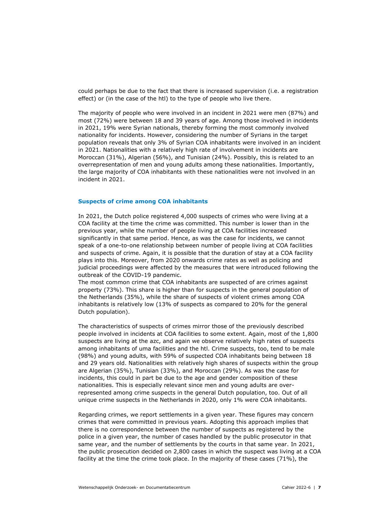could perhaps be due to the fact that there is increased supervision (i.e. a registration effect) or (in the case of the htl) to the type of people who live there.

The majority of people who were involved in an incident in 2021 were men (87%) and most (72%) were between 18 and 39 years of age. Among those involved in incidents in 2021, 19% were Syrian nationals, thereby forming the most commonly involved nationality for incidents. However, considering the number of Syrians in the target population reveals that only 3% of Syrian COA inhabitants were involved in an incident in 2021. Nationalities with a relatively high rate of involvement in incidents are Moroccan (31%), Algerian (56%), and Tunisian (24%). Possibly, this is related to an overrepresentation of men and young adults among these nationalities. Importantly, the large majority of COA inhabitants with these nationalities were not involved in an incident in 2021.

#### **Suspects of crime among COA inhabitants**

In 2021, the Dutch police registered 4,000 suspects of crimes who were living at a COA facility at the time the crime was committed. This number is lower than in the previous year, while the number of people living at COA facilities increased significantly in that same period. Hence, as was the case for incidents, we cannot speak of a one-to-one relationship between number of people living at COA facilities and suspects of crime. Again, it is possible that the duration of stay at a COA facility plays into this. Moreover, from 2020 onwards crime rates as well as policing and judicial proceedings were affected by the measures that were introduced following the outbreak of the COVID-19 pandemic.

The most common crime that COA inhabitants are suspected of are crimes against property (73%). This share is higher than for suspects in the general population of the Netherlands (35%), while the share of suspects of violent crimes among COA inhabitants is relatively low (13% of suspects as compared to 20% for the general Dutch population).

The characteristics of suspects of crimes mirror those of the previously described people involved in incidents at COA facilities to some extent. Again, most of the 1,800 suspects are living at the azc, and again we observe relatively high rates of suspects among inhabitants of uma facilities and the htl. Crime suspects, too, tend to be male (98%) and young adults, with 59% of suspected COA inhabitants being between 18 and 29 years old. Nationalities with relatively high shares of suspects within the group are Algerian (35%), Tunisian (33%), and Moroccan (29%). As was the case for incidents, this could in part be due to the age and gender composition of these nationalities. This is especially relevant since men and young adults are overrepresented among crime suspects in the general Dutch population, too. Out of all unique crime suspects in the Netherlands in 2020, only 1% were COA inhabitants.

Regarding crimes, we report settlements in a given year. These figures may concern crimes that were committed in previous years. Adopting this approach implies that there is no correspondence between the number of suspects as registered by the police in a given year, the number of cases handled by the public prosecutor in that same year, and the number of settlements by the courts in that same year. In 2021, the public prosecution decided on 2,800 cases in which the suspect was living at a COA facility at the time the crime took place. In the majority of these cases (71%), the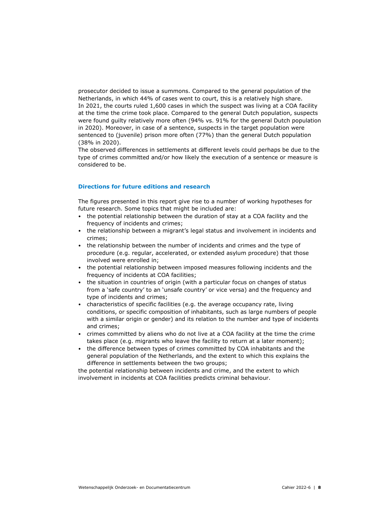prosecutor decided to issue a summons. Compared to the general population of the Netherlands, in which 44% of cases went to court, this is a relatively high share. In 2021, the courts ruled 1,600 cases in which the suspect was living at a COA facility at the time the crime took place. Compared to the general Dutch population, suspects were found guilty relatively more often (94% vs. 91% for the general Dutch population in 2020). Moreover, in case of a sentence, suspects in the target population were sentenced to (juvenile) prison more often (77%) than the general Dutch population (38% in 2020).

The observed differences in settlements at different levels could perhaps be due to the type of crimes committed and/or how likely the execution of a sentence or measure is considered to be.

#### **Directions for future editions and research**

The figures presented in this report give rise to a number of working hypotheses for future research. Some topics that might be included are:

- the potential relationship between the duration of stay at a COA facility and the frequency of incidents and crimes;
- the relationship between a migrant's legal status and involvement in incidents and crimes;
- the relationship between the number of incidents and crimes and the type of procedure (e.g. regular, accelerated, or extended asylum procedure) that those involved were enrolled in;
- the potential relationship between imposed measures following incidents and the frequency of incidents at COA facilities;
- the situation in countries of origin (with a particular focus on changes of status from a 'safe country' to an 'unsafe country' or vice versa) and the frequency and type of incidents and crimes;
- characteristics of specific facilities (e.g. the average occupancy rate, living conditions, or specific composition of inhabitants, such as large numbers of people with a similar origin or gender) and its relation to the number and type of incidents and crimes;
- crimes committed by aliens who do not live at a COA facility at the time the crime takes place (e.g. migrants who leave the facility to return at a later moment);
- the difference between types of crimes committed by COA inhabitants and the general population of the Netherlands, and the extent to which this explains the difference in settlements between the two groups;

the potential relationship between incidents and crime, and the extent to which involvement in incidents at COA facilities predicts criminal behaviour.